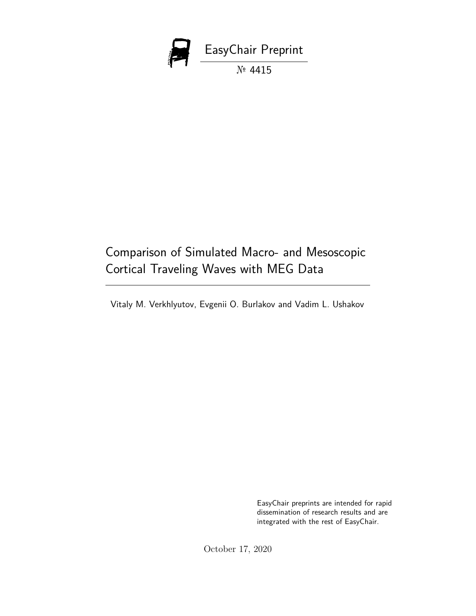

# Comparison of Simulated Macro- and Mesoscopic Cortical Traveling Waves with MEG Data

Vitaly M. Verkhlyutov, Evgenii O. Burlakov and Vadim L. Ushakov

EasyChair preprints are intended for rapid dissemination of research results and are integrated with the rest of EasyChair.

October 17, 2020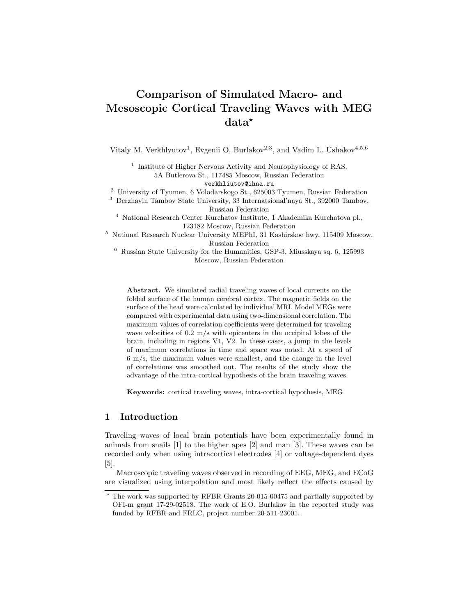# Comparison of Simulated Macro- and Mesoscopic Cortical Traveling Waves with MEG data?

Vitaly M. Verkhlyutov<sup>1</sup>, Evgenii O. Burlakov<sup>2,3</sup>, and Vadim L. Ushakov<sup>4,5,6</sup>

<sup>1</sup> Institute of Higher Nervous Activity and Neurophysiology of RAS, 5A Butlerova St., 117485 Moscow, Russian Federation verkhliutov@ihna.ru

<sup>2</sup> University of Tyumen, 6 Volodarskogo St., 625003 Tyumen, Russian Federation

<sup>3</sup> Derzhavin Tambov State University, 33 Internatsional'naya St., 392000 Tambov,

Russian Federation

<sup>4</sup> National Research Center Kurchatov Institute, 1 Akademika Kurchatova pl., 123182 Moscow, Russian Federation

<sup>5</sup> National Research Nuclear University MEPhI, 31 Kashirskoe hwy, 115409 Moscow, Russian Federation

 $6$  Russian State University for the Humanities, GSP-3, Miusskaya sq.  $6$ , 125993 Moscow, Russian Federation

Abstract. We simulated radial traveling waves of local currents on the folded surface of the human cerebral cortex. The magnetic fields on the surface of the head were calculated by individual MRI. Model MEGs were compared with experimental data using two-dimensional correlation. The maximum values of correlation coefficients were determined for traveling wave velocities of 0.2 m/s with epicenters in the occipital lobes of the brain, including in regions V1, V2. In these cases, a jump in the levels of maximum correlations in time and space was noted. At a speed of 6 m/s, the maximum values were smallest, and the change in the level of correlations was smoothed out. The results of the study show the advantage of the intra-cortical hypothesis of the brain traveling waves.

Keywords: cortical traveling waves, intra-cortical hypothesis, MEG

# 1 Introduction

Traveling waves of local brain potentials have been experimentally found in animals from snails [1] to the higher apes [2] and man [3]. These waves can be recorded only when using intracortical electrodes [4] or voltage-dependent dyes [5].

Macroscopic traveling waves observed in recording of EEG, MEG, and ECoG are visualized using interpolation and most likely reflect the effects caused by

<sup>?</sup> The work was supported by RFBR Grants 20-015-00475 and partially supported by OFI-m grant 17-29-02518. The work of E.O. Burlakov in the reported study was funded by RFBR and FRLC, project number 20-511-23001.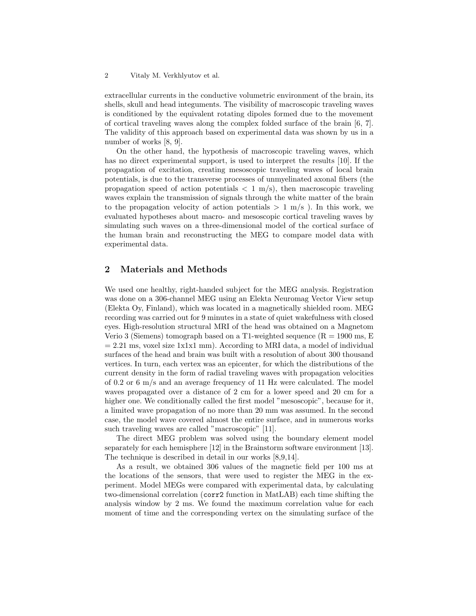extracellular currents in the conductive volumetric environment of the brain, its shells, skull and head integuments. The visibility of macroscopic traveling waves is conditioned by the equivalent rotating dipoles formed due to the movement of cortical traveling waves along the complex folded surface of the brain [6, 7]. The validity of this approach based on experimental data was shown by us in a number of works [8, 9].

On the other hand, the hypothesis of macroscopic traveling waves, which has no direct experimental support, is used to interpret the results [10]. If the propagation of excitation, creating mesoscopic traveling waves of local brain potentials, is due to the transverse processes of unmyelinated axonal fibers (the propagation speed of action potentials  $\langle 1 \text{ m/s} \rangle$ , then macroscopic traveling waves explain the transmission of signals through the white matter of the brain to the propagation velocity of action potentials  $> 1$  m/s). In this work, we evaluated hypotheses about macro- and mesoscopic cortical traveling waves by simulating such waves on a three-dimensional model of the cortical surface of the human brain and reconstructing the MEG to compare model data with experimental data.

# 2 Materials and Methods

We used one healthy, right-handed subject for the MEG analysis. Registration was done on a 306-channel MEG using an Elekta Neuromag Vector View setup (Elekta Oy, Finland), which was located in a magnetically shielded room. MEG recording was carried out for 9 minutes in a state of quiet wakefulness with closed eyes. High-resolution structural MRI of the head was obtained on a Magnetom Verio 3 (Siemens) tomograph based on a T1-weighted sequence  $(R = 1900 \text{ ms}, E$  $= 2.21$  ms, voxel size 1x1x1 mm). According to MRI data, a model of individual surfaces of the head and brain was built with a resolution of about 300 thousand vertices. In turn, each vertex was an epicenter, for which the distributions of the current density in the form of radial traveling waves with propagation velocities of 0.2 or 6 m/s and an average frequency of 11 Hz were calculated. The model waves propagated over a distance of 2 cm for a lower speed and 20 cm for a higher one. We conditionally called the first model "mesoscopic", because for it, a limited wave propagation of no more than 20 mm was assumed. In the second case, the model wave covered almost the entire surface, and in numerous works such traveling waves are called "macroscopic" [11].

The direct MEG problem was solved using the boundary element model separately for each hemisphere [12] in the Brainstorm software environment [13]. The technique is described in detail in our works [8,9,14].

As a result, we obtained 306 values of the magnetic field per 100 ms at the locations of the sensors, that were used to register the MEG in the experiment. Model MEGs were compared with experimental data, by calculating two-dimensional correlation (corr2 function in MatLAB) each time shifting the analysis window by 2 ms. We found the maximum correlation value for each moment of time and the corresponding vertex on the simulating surface of the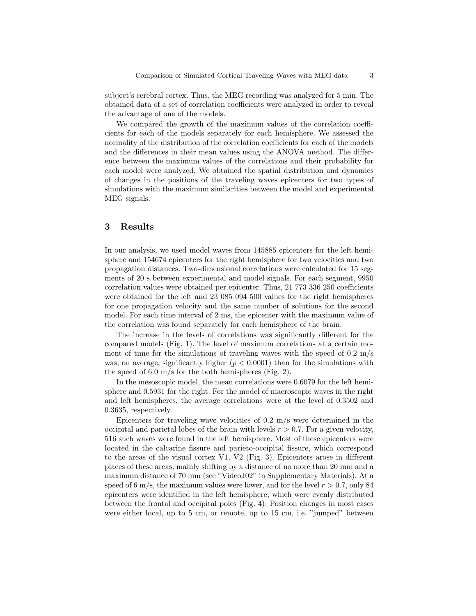subject's cerebral cortex. Thus, the MEG recording was analyzed for 5 min. The obtained data of a set of correlation coefficients were analyzed in order to reveal the advantage of one of the models.

We compared the growth of the maximum values of the correlation coefficients for each of the models separately for each hemisphere. We assessed the normality of the distribution of the correlation coefficients for each of the models and the differences in their mean values using the ANOVA method. The difference between the maximum values of the correlations and their probability for each model were analyzed. We obtained the spatial distribution and dynamics of changes in the positions of the traveling waves epicenters for two types of simulations with the maximum similarities between the model and experimental MEG signals.

# 3 Results

In our analysis, we used model waves from 145885 epicenters for the left hemisphere and 154674 epicenters for the right hemisphere for two velocities and two propagation distances. Two-dimensional correlations were calculated for 15 segments of 20 s between experimental and model signals. For each segment, 9950 correlation values were obtained per epicenter. Thus, 21 773 336 250 coefficients were obtained for the left and 23 085 094 500 values for the right hemispheres for one propagation velocity and the same number of solutions for the second model. For each time interval of 2 ms, the epicenter with the maximum value of the correlation was found separately for each hemisphere of the brain.

The increase in the levels of correlations was significantly different for the compared models (Fig. 1). The level of maximum correlations at a certain moment of time for the simulations of traveling waves with the speed of  $0.2 \text{ m/s}$ was, on average, significantly higher  $(p < 0.0001)$  than for the simulations with the speed of 6.0 m/s for the both hemispheres (Fig. 2).

In the mesoscopic model, the mean correlations were 0.6079 for the left hemisphere and 0.5931 for the right. For the model of macroscopic waves in the right and left hemispheres, the average correlations were at the level of 0.3502 and 0.3635, respectively.

Epicenters for traveling wave velocities of  $0.2 \text{ m/s}$  were determined in the occipital and parietal lobes of the brain with levels  $r > 0.7$ . For a given velocity, 516 such waves were found in the left hemisphere. Most of these epicenters were located in the calcarine fissure and parieto-occipital fissure, which correspond to the areas of the visual cortex V1, V2 (Fig. 3). Epicenters arose in different places of these areas, mainly shifting by a distance of no more than 20 mm and a maximum distance of 70 mm (see "VideoJ02" in Supplementary Materials). At a speed of 6 m/s, the maximum values were lower, and for the level  $r > 0.7$ , only 84 epicenters were identified in the left hemisphere, which were evenly distributed between the frontal and occipital poles (Fig. 4). Position changes in most cases were either local, up to 5 cm, or remote, up to 15 cm, i.e. "jumped" between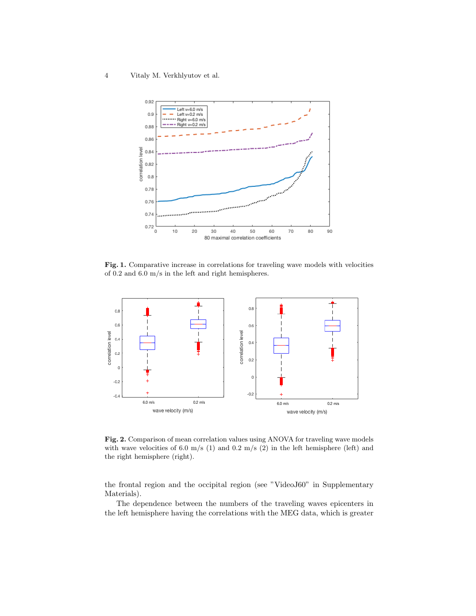4 Vitaly M. Verkhlyutov et al.



Fig. 1. Comparative increase in correlations for traveling wave models with velocities of 0.2 and 6.0 m/s in the left and right hemispheres.



Fig. 2. Comparison of mean correlation values using ANOVA for traveling wave models with wave velocities of 6.0 m/s (1) and 0.2 m/s (2) in the left hemisphere (left) and the right hemisphere (right).

the frontal region and the occipital region (see "VideoJ60" in Supplementary Materials).

The dependence between the numbers of the traveling waves epicenters in the left hemisphere having the correlations with the MEG data, which is greater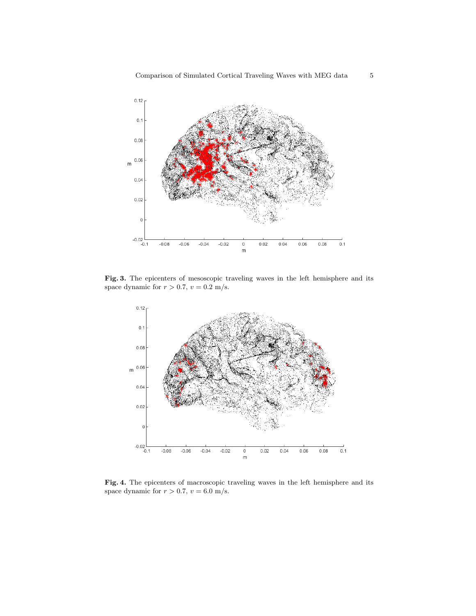

Fig. 3. The epicenters of mesoscopic traveling waves in the left hemisphere and its space dynamic for  $r > 0.7$ ,  $v = 0.2$  m/s.



Fig. 4. The epicenters of macroscopic traveling waves in the left hemisphere and its space dynamic for  $r > 0.7$ ,  $v = 6.0$  m/s.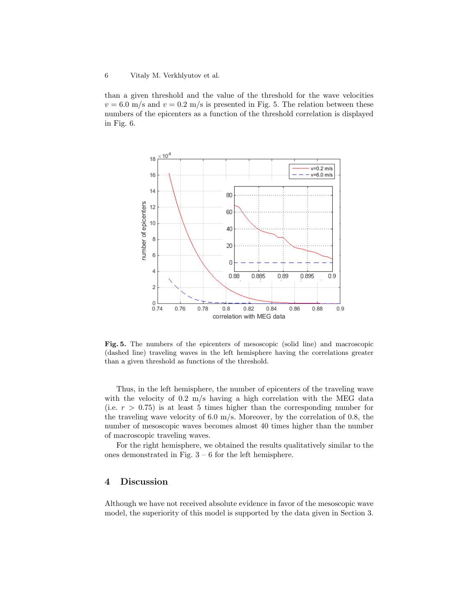#### 6 Vitaly M. Verkhlyutov et al.

than a given threshold and the value of the threshold for the wave velocities  $v = 6.0$  m/s and  $v = 0.2$  m/s is presented in Fig. 5. The relation between these numbers of the epicenters as a function of the threshold correlation is displayed in Fig. 6.



Fig. 5. The numbers of the epicenters of mesoscopic (solid line) and macroscopic (dashed line) traveling waves in the left hemisphere having the correlations greater than a given threshold as functions of the threshold.

Thus, in the left hemisphere, the number of epicenters of the traveling wave with the velocity of 0.2 m/s having a high correlation with the MEG data (i.e.  $r > 0.75$ ) is at least 5 times higher than the corresponding number for the traveling wave velocity of 6.0 m/s. Moreover, by the correlation of 0.8, the number of mesoscopic waves becomes almost 40 times higher than the number of macroscopic traveling waves.

For the right hemisphere, we obtained the results qualitatively similar to the ones demonstrated in Fig. 3 – 6 for the left hemisphere.

## 4 Discussion

Although we have not received absolute evidence in favor of the mesoscopic wave model, the superiority of this model is supported by the data given in Section 3.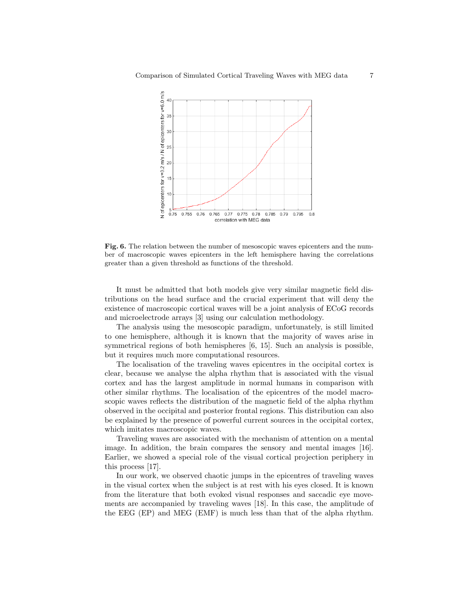

Fig. 6. The relation between the number of mesoscopic waves epicenters and the number of macroscopic waves epicenters in the left hemisphere having the correlations greater than a given threshold as functions of the threshold.

It must be admitted that both models give very similar magnetic field distributions on the head surface and the crucial experiment that will deny the existence of macroscopic cortical waves will be a joint analysis of ECoG records and microelectrode arrays [3] using our calculation methodology.

The analysis using the mesoscopic paradigm, unfortunately, is still limited to one hemisphere, although it is known that the majority of waves arise in symmetrical regions of both hemispheres [6, 15]. Such an analysis is possible, but it requires much more computational resources.

The localisation of the traveling waves epicentres in the occipital cortex is clear, because we analyse the alpha rhythm that is associated with the visual cortex and has the largest amplitude in normal humans in comparison with other similar rhythms. The localisation of the epicentres of the model macroscopic waves reflects the distribution of the magnetic field of the alpha rhythm observed in the occipital and posterior frontal regions. This distribution can also be explained by the presence of powerful current sources in the occipital cortex, which imitates macroscopic waves.

Traveling waves are associated with the mechanism of attention on a mental image. In addition, the brain compares the sensory and mental images [16]. Earlier, we showed a special role of the visual cortical projection periphery in this process [17].

In our work, we observed chaotic jumps in the epicentres of traveling waves in the visual cortex when the subject is at rest with his eyes closed. It is known from the literature that both evoked visual responses and saccadic eye movements are accompanied by traveling waves [18]. In this case, the amplitude of the EEG (EP) and MEG (EMF) is much less than that of the alpha rhythm.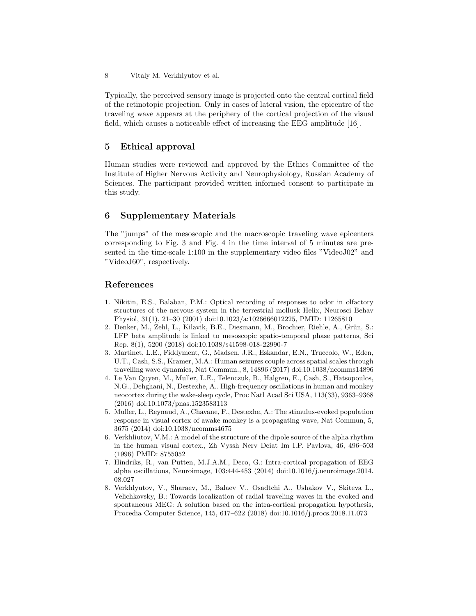8 Vitaly M. Verkhlyutov et al.

Typically, the perceived sensory image is projected onto the central cortical field of the retinotopic projection. Only in cases of lateral vision, the epicentre of the traveling wave appears at the periphery of the cortical projection of the visual field, which causes a noticeable effect of increasing the EEG amplitude [16].

# 5 Ethical approval

Human studies were reviewed and approved by the Ethics Committee of the Institute of Higher Nervous Activity and Neurophysiology, Russian Academy of Sciences. The participant provided written informed consent to participate in this study.

# 6 Supplementary Materials

The "jumps" of the mesoscopic and the macroscopic traveling wave epicenters corresponding to Fig. 3 and Fig. 4 in the time interval of 5 minutes are presented in the time-scale 1:100 in the supplementary video files "VideoJ02" and "VideoJ60", respectively.

# References

- 1. Nikitin, E.S., Balaban, P.M.: Optical recording of responses to odor in olfactory structures of the nervous system in the terrestrial mollusk Helix, Neurosci Behav Physiol, 31(1), 21–30 (2001) doi:10.1023/a:1026666012225, PMID: 11265810
- 2. Denker, M., Zehl, L., Kilavik, B.E., Diesmann, M., Brochier, Riehle, A., Grün, S.: LFP beta amplitude is linked to mesoscopic spatio-temporal phase patterns, Sci Rep. 8(1), 5200 (2018) doi:10.1038/s41598-018-22990-7
- 3. Martinet, L.E., Fiddyment, G., Madsen, J.R., Eskandar, E.N., Truccolo, W., Eden, U.T., Cash, S.S., Kramer, M.A.: Human seizures couple across spatial scales through travelling wave dynamics, Nat Commun., 8, 14896 (2017) doi:10.1038/ncomms14896
- 4. Le Van Quyen, M., Muller, L.E., Telenczuk, B., Halgren, E., Cash, S., Hatsopoulos, N.G., Dehghani, N., Destexhe, A.. High-frequency oscillations in human and monkey neocortex during the wake-sleep cycle, Proc Natl Acad Sci USA, 113(33), 9363–9368 (2016) doi:10.1073/pnas.1523583113
- 5. Muller, L., Reynaud, A., Chavane, F., Destexhe, A.: The stimulus-evoked population response in visual cortex of awake monkey is a propagating wave, Nat Commun, 5, 3675 (2014) doi:10.1038/ncomms4675
- 6. Verkhliutov, V.M.: A model of the structure of the dipole source of the alpha rhythm in the human visual cortex., Zh Vyssh Nerv Deiat Im I.P. Pavlova, 46, 496–503 (1996) PMID: 8755052
- 7. Hindriks, R., van Putten, M.J.A.M., Deco, G.: Intra-cortical propagation of EEG alpha oscillations, Neuroimage, 103:444-453 (2014) doi:10.1016/j.neuroimage.2014. 08.027
- 8. Verkhlyutov, V., Sharaev, M., Balaev V., Osadtchi A., Ushakov V., Skiteva L., Velichkovsky, B.: Towards localization of radial traveling waves in the evoked and spontaneous MEG: A solution based on the intra-cortical propagation hypothesis, Procedia Computer Science, 145, 617–622 (2018) doi:10.1016/j.procs.2018.11.073